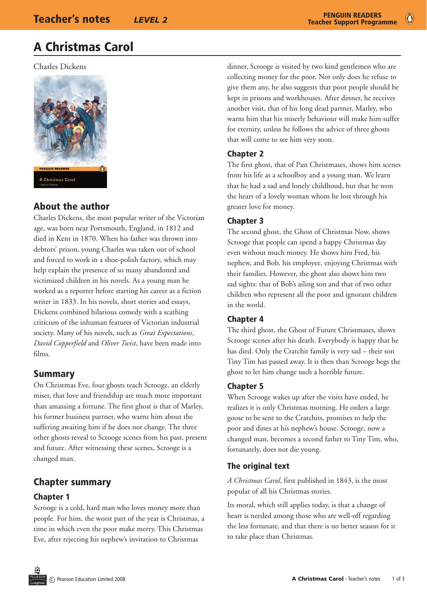# A Christmas Carol

Charles Dickens



# About the author

Charles Dickens, the most popular writer of the Victorian age, was born near Portsmouth, England, in 1812 and died in Kent in 1870. When his father was thrown into debtors' prison, young Charles was taken out of school and forced to work in a shoe-polish factory, which may help explain the presence of so many abandoned and victimized children in his novels. As a young man he worked as a reporter before starting his career as a fiction writer in 1833. In his novels, short stories and essays, Dickens combined hilarious comedy with a scathing criticism of the inhuman features of Victorian industrial society. Many of his novels, such as *Great Expectations*, *David Copperfield* and *Oliver Twist*, have been made into films.

## Summary

On Christmas Eve, four ghosts teach Scrooge, an elderly miser, that love and friendship are much more important than amassing a fortune. The first ghost is that of Marley, his former business partner, who warns him about the suffering awaiting him if he does not change. The three other ghosts reveal to Scrooge scenes from his past, present and future. After witnessing these scenes, Scrooge is a changed man.

# Chapter summary

### Chapter 1

Scrooge is a cold, hard man who loves money more than people. For him, the worst part of the year is Christmas, a time in which even the poor make merry. This Christmas Eve, after rejecting his nephew's invitation to Christmas

dinner, Scrooge is visited by two kind gentlemen who are collecting money for the poor. Not only does he refuse to give them any, he also suggests that poor people should be kept in prisons and workhouses. After dinner, he receives another visit, that of his long dead partner, Marley, who warns him that his miserly behaviour will make him suffer for eternity, unless he follows the advice of three ghosts that will come to see him very soon.

### Chapter 2

The first ghost, that of Past Christmases, shows him scenes from his life as a schoolboy and a young man. We learn that he had a sad and lonely childhood, but that he won the heart of a lovely woman whom he lost through his greater love for money.

### Chapter 3

The second ghost, the Ghost of Christmas Now, shows Scrooge that people can spend a happy Christmas day even without much money. He shows him Fred, his nephew, and Bob, his employee, enjoying Christmas with their families. However, the ghost also shows him two sad sights: that of Bob's ailing son and that of two other children who represent all the poor and ignorant children in the world.

### Chapter 4

The third ghost, the Ghost of Future Christmases, shows Scrooge scenes after his death. Everybody is happy that he has died. Only the Cratchit family is very sad – their son Tiny Tim has passed away. It is then than Scrooge begs the ghost to let him change such a horrible future.

### Chapter 5

When Scrooge wakes up after the visits have ended, he realizes it is only Christmas morning. He orders a large goose to be sent to the Cratchits, promises to help the poor and dines at his nephew's house. Scrooge, now a changed man, becomes a second father to Tiny Tim, who, fortunately, does not die young.

### The original text

*A Christmas Carol*, first published in 1843, is the most popular of all his Christmas stories.

Its moral, which still applies today, is that a change of heart is needed among those who are well-off regarding the less fortunate, and that there is no better season for it to take place than Christmas.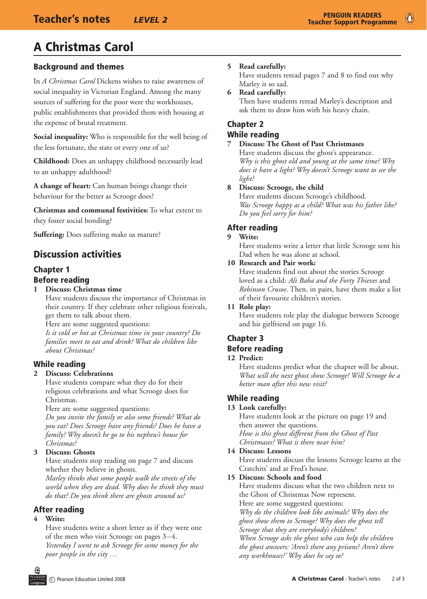# A Christmas Carol

### Background and themes

In *A Christmas Carol* Dickens wishes to raise awareness of social inequality in Victorian England. Among the many sources of suffering for the poor were the workhouses, public establishments that provided them with housing at the expense of brutal treatment.

**Social inequality:** Who is responsible for the well being of the less fortunate, the state or every one of us?

**Childhood:** Does an unhappy childhood necessarily lead to an unhappy adulthood?

**A change of heart:** Can human beings change their behaviour for the better as Scrooge does?

**Christmas and communal festivities:** To what extent to they foster social bonding?

**Suffering:** Does suffering make us mature?

# Discussion activities

# Chapter 1

#### Before reading

**1 Discuss: Christmas time**

Have students discuss the importance of Christmas in their country. If they celebrate other religious festivals, get them to talk about them.

Here are some suggested questions:

*Is it cold or hot at Christmas time in your country? Do families meet to eat and drink? What do children like about Christmas?* 

#### While reading

#### **2 Discuss: Celebrations**

Have students compare what they do for their religious celebrations and what Scrooge does for Christmas.

Here are some suggested questions:

*Do you invite the family or also some friends? What do you eat? Does Scrooge have any friends? Does he have a family? Why doesn't he go to his nephew's house for Christmas?*

#### **3 Discuss: Ghosts**

Have students stop reading on page 7 and discuss whether they believe in ghosts.

*Marley thinks that some people walk the streets of the world when they are dead. Why does he think they must do that? Do you think there are ghosts around us?* 

#### After reading

#### **4 Write:**

Have students write a short letter as if they were one of the men who visit Scrooge on pages 3–4. *Yesterday I went to ask Scrooge for some money for the poor people in the city …*

#### **5 Read carefully:**

Have students reread pages 7 and 8 to find out why Marley is so sad.

**6 Read carefully:** Then have students reread Marley's description and ask them to draw him with his heavy chain.

## Chapter 2

### While reading

#### **7 Discuss: The Ghost of Past Christmases**

Have students discuss the ghost's appearance. *Why is this ghost old and young at the same time? Why does it have a light? Why doesn't Scrooge want to see the light?*

#### **8 Discuss: Scrooge, the child**

Have students discuss Scrooge's childhood. *Was Scrooge happy as a child? What was his father like? Do you feel sorry for him?*

#### After reading

#### **9 Write:**

Have students write a letter that little Scrooge sent his Dad when he was alone at school.

#### **10 Research and Pair work:**

Have students find out about the stories Scrooge loved as a child: *Ali Baba and the Forty Thieves* and *Robinson Crusoe*. Then, in pairs, have them make a list of their favourite children's stories.

#### **11 Role play:**

Have students role play the dialogue between Scrooge and his girlfriend on page 16.

### Chapter 3

#### Before reading

#### **12 Predict:**

Have students predict what the chapter will be about. *What will the next ghost show Scrooge? Will Scrooge be a better man after this new visit?*

#### While reading

#### **13 Look carefully:**

Have students look at the picture on page 19 and then answer the questions. *How is this ghost different from the Ghost of Past* 

*Christmases? What is there near him?*

#### **14 Discuss: Lessons**

Have students discuss the lessons Scrooge learns at the Cratchits' and at Fred's house.

#### **15 Discuss: Schools and food**

Have students discuss what the two children next to the Ghost of Christmas Now represent.

Here are some suggested questions:

*Why do the children look like animals? Why does the ghost show them to Scrooge? Why does the ghost tell Scrooge that they are everybody's children? When Scrooge asks the ghost who can help the children the ghost answers: 'Aren't there any prisons? Aren't there any workhouses?' Why does he say so?*